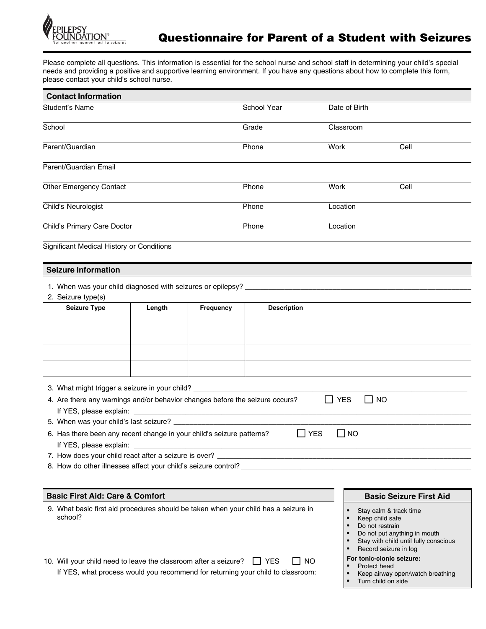

Please complete all questions. This information is essential for the school nurse and school staff in determining your child's special needs and providing a positive and supportive learning environment. If you have any questions about how to complete this form, please contact your child's school nurse.

| <b>Contact Information</b>                                                                                                                                                                                                                                                                                                                                      |        |                                                                            |                                                                                                         |                                                                                                                                              |                                                                                                                                                              |  |  |
|-----------------------------------------------------------------------------------------------------------------------------------------------------------------------------------------------------------------------------------------------------------------------------------------------------------------------------------------------------------------|--------|----------------------------------------------------------------------------|---------------------------------------------------------------------------------------------------------|----------------------------------------------------------------------------------------------------------------------------------------------|--------------------------------------------------------------------------------------------------------------------------------------------------------------|--|--|
| Student's Name                                                                                                                                                                                                                                                                                                                                                  |        |                                                                            | School Year                                                                                             | Date of Birth                                                                                                                                |                                                                                                                                                              |  |  |
| School                                                                                                                                                                                                                                                                                                                                                          |        |                                                                            | Grade                                                                                                   | Classroom                                                                                                                                    |                                                                                                                                                              |  |  |
| Parent/Guardian                                                                                                                                                                                                                                                                                                                                                 |        |                                                                            | Phone                                                                                                   | Work                                                                                                                                         | Cell                                                                                                                                                         |  |  |
| Parent/Guardian Email                                                                                                                                                                                                                                                                                                                                           |        |                                                                            |                                                                                                         |                                                                                                                                              |                                                                                                                                                              |  |  |
| Other Emergency Contact                                                                                                                                                                                                                                                                                                                                         |        |                                                                            | Phone                                                                                                   | Work                                                                                                                                         | Cell                                                                                                                                                         |  |  |
| Child's Neurologist                                                                                                                                                                                                                                                                                                                                             |        |                                                                            | Phone                                                                                                   | Location                                                                                                                                     |                                                                                                                                                              |  |  |
| Child's Primary Care Doctor                                                                                                                                                                                                                                                                                                                                     |        |                                                                            | Phone                                                                                                   | Location                                                                                                                                     |                                                                                                                                                              |  |  |
| Significant Medical History or Conditions                                                                                                                                                                                                                                                                                                                       |        |                                                                            |                                                                                                         |                                                                                                                                              |                                                                                                                                                              |  |  |
| <b>Seizure Information</b>                                                                                                                                                                                                                                                                                                                                      |        |                                                                            |                                                                                                         |                                                                                                                                              |                                                                                                                                                              |  |  |
| 1. When was your child diagnosed with seizures or epilepsy?<br>2. Seizure type(s)                                                                                                                                                                                                                                                                               |        |                                                                            |                                                                                                         |                                                                                                                                              |                                                                                                                                                              |  |  |
| <b>Seizure Type</b>                                                                                                                                                                                                                                                                                                                                             | Length | Frequency                                                                  | <b>Description</b>                                                                                      |                                                                                                                                              |                                                                                                                                                              |  |  |
| 3. What might trigger a seizure in your child? _________________________________<br>4. Are there any warnings and/or behavior changes before the seizure occurs?<br>If YES, please explain: __<br>6. Has there been any recent change in your child's seizure patterns?<br>If YES, please explain:<br>7. How does your child react after a seizure is over? ___ |        | the control of the control of the control of the control of the control of | <b>YES</b><br>the control of the control of the control of the control of the control of the control of | $\Box$ YES<br>$\Box$ NO<br>$\Box$ NO                                                                                                         |                                                                                                                                                              |  |  |
| <b>Basic First Aid: Care &amp; Comfort</b>                                                                                                                                                                                                                                                                                                                      |        |                                                                            |                                                                                                         |                                                                                                                                              | <b>Basic Seizure First Aid</b>                                                                                                                               |  |  |
| 9. What basic first aid procedures should be taken when your child has a seizure in<br>school?<br>10. Will your child need to leave the classroom after a seizure?<br>If YES, what process would you recommend for returning your child to classroom:                                                                                                           |        |                                                                            | <b>NO</b><br>I I YES                                                                                    | Keep child safe<br>Do not restrain<br>$\bullet$<br>$\bullet$<br>For tonic-clonic seizure:<br>Protect head<br>Turn child on side<br>$\bullet$ | Stay calm & track time<br>Do not put anything in mouth<br>Stay with child until fully conscious<br>Record seizure in log<br>Keep airway open/watch breathing |  |  |